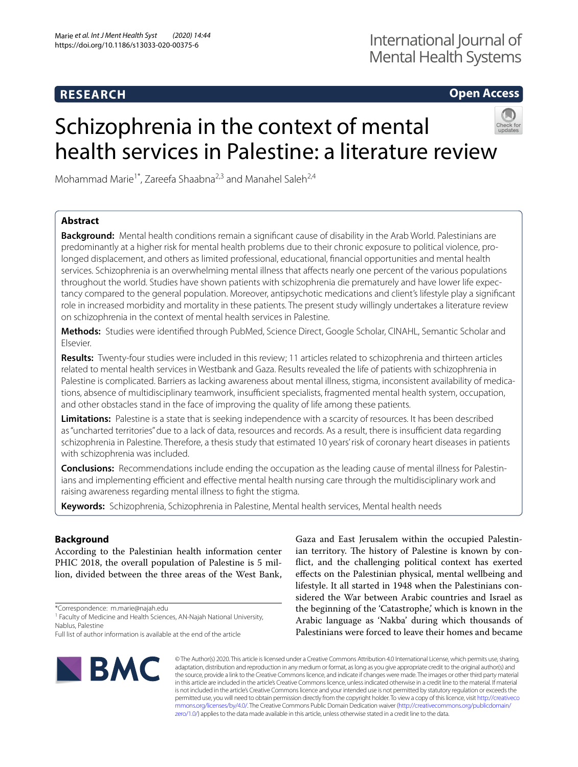# **RESEARCH**

**Open Access**

# Schizophrenia in the context of mental health services in Palestine: a literature review



Mohammad Marie<sup>1\*</sup>, Zareefa Shaabna<sup>2,3</sup> and Manahel Saleh<sup>2,4</sup>

# **Abstract**

**Background:** Mental health conditions remain a signifcant cause of disability in the Arab World. Palestinians are predominantly at a higher risk for mental health problems due to their chronic exposure to political violence, prolonged displacement, and others as limited professional, educational, fnancial opportunities and mental health services. Schizophrenia is an overwhelming mental illness that affects nearly one percent of the various populations throughout the world. Studies have shown patients with schizophrenia die prematurely and have lower life expectancy compared to the general population. Moreover, antipsychotic medications and client's lifestyle play a signifcant role in increased morbidity and mortality in these patients. The present study willingly undertakes a literature review on schizophrenia in the context of mental health services in Palestine.

**Methods:** Studies were identifed through PubMed, Science Direct, Google Scholar, CINAHL, Semantic Scholar and Elsevier.

**Results:** Twenty-four studies were included in this review; 11 articles related to schizophrenia and thirteen articles related to mental health services in Westbank and Gaza. Results revealed the life of patients with schizophrenia in Palestine is complicated. Barriers as lacking awareness about mental illness, stigma, inconsistent availability of medications, absence of multidisciplinary teamwork, insufficient specialists, fragmented mental health system, occupation, and other obstacles stand in the face of improving the quality of life among these patients.

**Limitations:** Palestine is a state that is seeking independence with a scarcity of resources. It has been described as "uncharted territories" due to a lack of data, resources and records. As a result, there is insufficient data regarding schizophrenia in Palestine. Therefore, a thesis study that estimated 10 years' risk of coronary heart diseases in patients with schizophrenia was included.

**Conclusions:** Recommendations include ending the occupation as the leading cause of mental illness for Palestinians and implementing efficient and effective mental health nursing care through the multidisciplinary work and raising awareness regarding mental illness to fght the stigma.

**Keywords:** Schizophrenia, Schizophrenia in Palestine, Mental health services, Mental health needs

# **Background**

According to the Palestinian health information center PHIC 2018, the overall population of Palestine is 5 million, divided between the three areas of the West Bank,

\*Correspondence: m.marie@najah.edu

Full list of author information is available at the end of the article



Gaza and East Jerusalem within the occupied Palestinian territory. The history of Palestine is known by confict, and the challenging political context has exerted efects on the Palestinian physical, mental wellbeing and lifestyle. It all started in 1948 when the Palestinians considered the War between Arabic countries and Israel as the beginning of the 'Catastrophe,' which is known in the Arabic language as 'Nakba' during which thousands of Palestinians were forced to leave their homes and became

© The Author(s) 2020. This article is licensed under a Creative Commons Attribution 4.0 International License, which permits use, sharing, adaptation, distribution and reproduction in any medium or format, as long as you give appropriate credit to the original author(s) and the source, provide a link to the Creative Commons licence, and indicate if changes were made. The images or other third party material in this article are included in the article's Creative Commons licence, unless indicated otherwise in a credit line to the material. If material is not included in the article's Creative Commons licence and your intended use is not permitted by statutory regulation or exceeds the permitted use, you will need to obtain permission directly from the copyright holder. To view a copy of this licence, visit [http://creativeco](http://creativecommons.org/licenses/by/4.0/) [mmons.org/licenses/by/4.0/.](http://creativecommons.org/licenses/by/4.0/) The Creative Commons Public Domain Dedication waiver ([http://creativecommons.org/publicdomain/](http://creativecommons.org/publicdomain/zero/1.0/) [zero/1.0/\)](http://creativecommons.org/publicdomain/zero/1.0/) applies to the data made available in this article, unless otherwise stated in a credit line to the data.

<sup>&</sup>lt;sup>1</sup> Faculty of Medicine and Health Sciences, AN-Najah National University, Nablus, Palestine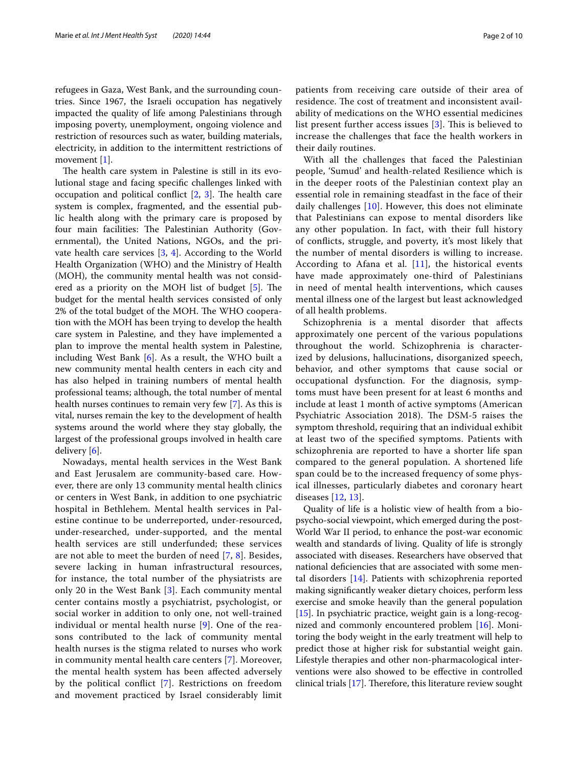refugees in Gaza, West Bank, and the surrounding countries. Since 1967, the Israeli occupation has negatively impacted the quality of life among Palestinians through imposing poverty, unemployment, ongoing violence and restriction of resources such as water, building materials, electricity, in addition to the intermittent restrictions of movement [[1\]](#page-8-0).

The health care system in Palestine is still in its evolutional stage and facing specifc challenges linked with occupation and political conflict  $[2, 3]$  $[2, 3]$  $[2, 3]$  $[2, 3]$ . The health care system is complex, fragmented, and the essential public health along with the primary care is proposed by four main facilities: The Palestinian Authority (Governmental), the United Nations, NGOs, and the private health care services  $[3, 4]$  $[3, 4]$  $[3, 4]$  $[3, 4]$  $[3, 4]$ . According to the World Health Organization (WHO) and the Ministry of Health (MOH), the community mental health was not considered as a priority on the MOH list of budget  $[5]$  $[5]$ . The budget for the mental health services consisted of only 2% of the total budget of the MOH. The WHO cooperation with the MOH has been trying to develop the health care system in Palestine, and they have implemented a plan to improve the mental health system in Palestine, including West Bank [\[6](#page-8-5)]. As a result, the WHO built a new community mental health centers in each city and has also helped in training numbers of mental health professional teams; although, the total number of mental health nurses continues to remain very few [[7\]](#page-8-6). As this is vital, nurses remain the key to the development of health systems around the world where they stay globally, the largest of the professional groups involved in health care delivery [[6\]](#page-8-5).

Nowadays, mental health services in the West Bank and East Jerusalem are community-based care. However, there are only 13 community mental health clinics or centers in West Bank, in addition to one psychiatric hospital in Bethlehem. Mental health services in Palestine continue to be underreported, under-resourced, under-researched, under-supported, and the mental health services are still underfunded; these services are not able to meet the burden of need [[7,](#page-8-6) [8\]](#page-8-7). Besides, severe lacking in human infrastructural resources, for instance, the total number of the physiatrists are only 20 in the West Bank [\[3](#page-8-2)]. Each community mental center contains mostly a psychiatrist, psychologist, or social worker in addition to only one, not well-trained individual or mental health nurse [[9\]](#page-8-8). One of the reasons contributed to the lack of community mental health nurses is the stigma related to nurses who work in community mental health care centers [\[7](#page-8-6)]. Moreover, the mental health system has been afected adversely by the political confict [[7\]](#page-8-6). Restrictions on freedom and movement practiced by Israel considerably limit patients from receiving care outside of their area of residence. The cost of treatment and inconsistent availability of medications on the WHO essential medicines list present further access issues  $[3]$  $[3]$ . This is believed to increase the challenges that face the health workers in their daily routines.

With all the challenges that faced the Palestinian people, 'Sumud' and health-related Resilience which is in the deeper roots of the Palestinian context play an essential role in remaining steadfast in the face of their daily challenges [\[10\]](#page-8-9). However, this does not eliminate that Palestinians can expose to mental disorders like any other population. In fact, with their full history of conficts, struggle, and poverty, it's most likely that the number of mental disorders is willing to increase. According to Afana et al.  $[11]$  $[11]$  $[11]$ , the historical events have made approximately one-third of Palestinians in need of mental health interventions, which causes mental illness one of the largest but least acknowledged of all health problems.

Schizophrenia is a mental disorder that afects approximately one percent of the various populations throughout the world. Schizophrenia is characterized by delusions, hallucinations, disorganized speech, behavior, and other symptoms that cause social or occupational dysfunction. For the diagnosis, symptoms must have been present for at least 6 months and include at least 1 month of active symptoms (American Psychiatric Association 2018). The DSM-5 raises the symptom threshold, requiring that an individual exhibit at least two of the specifed symptoms. Patients with schizophrenia are reported to have a shorter life span compared to the general population. A shortened life span could be to the increased frequency of some physical illnesses, particularly diabetes and coronary heart diseases [[12,](#page-8-11) [13\]](#page-8-12).

Quality of life is a holistic view of health from a biopsycho-social viewpoint, which emerged during the post-World War II period, to enhance the post-war economic wealth and standards of living. Quality of life is strongly associated with diseases. Researchers have observed that national defciencies that are associated with some mental disorders [[14\]](#page-8-13). Patients with schizophrenia reported making signifcantly weaker dietary choices, perform less exercise and smoke heavily than the general population [[15\]](#page-8-14). In psychiatric practice, weight gain is a long-recog-nized and commonly encountered problem [[16](#page-8-15)]. Monitoring the body weight in the early treatment will help to predict those at higher risk for substantial weight gain. Lifestyle therapies and other non-pharmacological interventions were also showed to be efective in controlled clinical trials  $[17]$  $[17]$ . Therefore, this literature review sought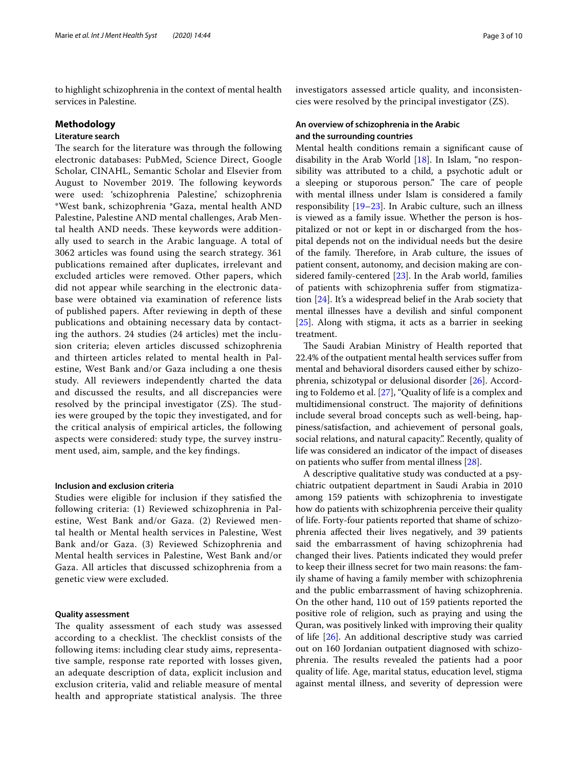to highlight schizophrenia in the context of mental health services in Palestine.

#### **Methodology**

# **Literature search**

The search for the literature was through the following electronic databases: PubMed, Science Direct, Google Scholar, CINAHL, Semantic Scholar and Elsevier from August to November 2019. The following keywords were used: 'schizophrenia Palestine,' schizophrenia \*West bank, schizophrenia \*Gaza, mental health AND Palestine, Palestine AND mental challenges, Arab Mental health AND needs. These keywords were additionally used to search in the Arabic language. A total of 3062 articles was found using the search strategy. 361 publications remained after duplicates, irrelevant and excluded articles were removed. Other papers, which did not appear while searching in the electronic database were obtained via examination of reference lists of published papers. After reviewing in depth of these publications and obtaining necessary data by contacting the authors. 24 studies (24 articles) met the inclusion criteria; eleven articles discussed schizophrenia and thirteen articles related to mental health in Palestine, West Bank and/or Gaza including a one thesis study. All reviewers independently charted the data and discussed the results, and all discrepancies were resolved by the principal investigator  $(ZS)$ . The studies were grouped by the topic they investigated, and for the critical analysis of empirical articles, the following aspects were considered: study type, the survey instrument used, aim, sample, and the key fndings.

# **Inclusion and exclusion criteria**

Studies were eligible for inclusion if they satisfed the following criteria: (1) Reviewed schizophrenia in Palestine, West Bank and/or Gaza. (2) Reviewed mental health or Mental health services in Palestine, West Bank and/or Gaza. (3) Reviewed Schizophrenia and Mental health services in Palestine, West Bank and/or Gaza. All articles that discussed schizophrenia from a genetic view were excluded.

# **Quality assessment**

The quality assessment of each study was assessed according to a checklist. The checklist consists of the following items: including clear study aims, representative sample, response rate reported with losses given, an adequate description of data, explicit inclusion and exclusion criteria, valid and reliable measure of mental health and appropriate statistical analysis. The three investigators assessed article quality, and inconsistencies were resolved by the principal investigator (ZS).

# **An overview of schizophrenia in the Arabic and the surrounding countries**

Mental health conditions remain a signifcant cause of disability in the Arab World [[18\]](#page-8-17). In Islam, "no responsibility was attributed to a child, a psychotic adult or a sleeping or stuporous person." The care of people with mental illness under Islam is considered a family responsibility [\[19](#page-8-18)[–23\]](#page-8-19). In Arabic culture, such an illness is viewed as a family issue. Whether the person is hospitalized or not or kept in or discharged from the hospital depends not on the individual needs but the desire of the family. Therefore, in Arab culture, the issues of patient consent, autonomy, and decision making are considered family-centered [\[23](#page-8-19)]. In the Arab world, families of patients with schizophrenia sufer from stigmatization [\[24](#page-8-20)]. It's a widespread belief in the Arab society that mental illnesses have a devilish and sinful component [[25\]](#page-8-21). Along with stigma, it acts as a barrier in seeking treatment.

The Saudi Arabian Ministry of Health reported that 22.4% of the outpatient mental health services sufer from mental and behavioral disorders caused either by schizophrenia, schizotypal or delusional disorder [\[26\]](#page-8-22). According to Foldemo et al. [[27](#page-8-23)], "Quality of life is a complex and multidimensional construct. The majority of definitions include several broad concepts such as well-being, happiness/satisfaction, and achievement of personal goals, social relations, and natural capacity." Recently, quality of life was considered an indicator of the impact of diseases on patients who sufer from mental illness [\[28](#page-8-24)].

A descriptive qualitative study was conducted at a psychiatric outpatient department in Saudi Arabia in 2010 among 159 patients with schizophrenia to investigate how do patients with schizophrenia perceive their quality of life. Forty-four patients reported that shame of schizophrenia afected their lives negatively, and 39 patients said the embarrassment of having schizophrenia had changed their lives. Patients indicated they would prefer to keep their illness secret for two main reasons: the family shame of having a family member with schizophrenia and the public embarrassment of having schizophrenia. On the other hand, 110 out of 159 patients reported the positive role of religion, such as praying and using the Quran, was positively linked with improving their quality of life [[26\]](#page-8-22). An additional descriptive study was carried out on 160 Jordanian outpatient diagnosed with schizophrenia. The results revealed the patients had a poor quality of life. Age, marital status, education level, stigma against mental illness, and severity of depression were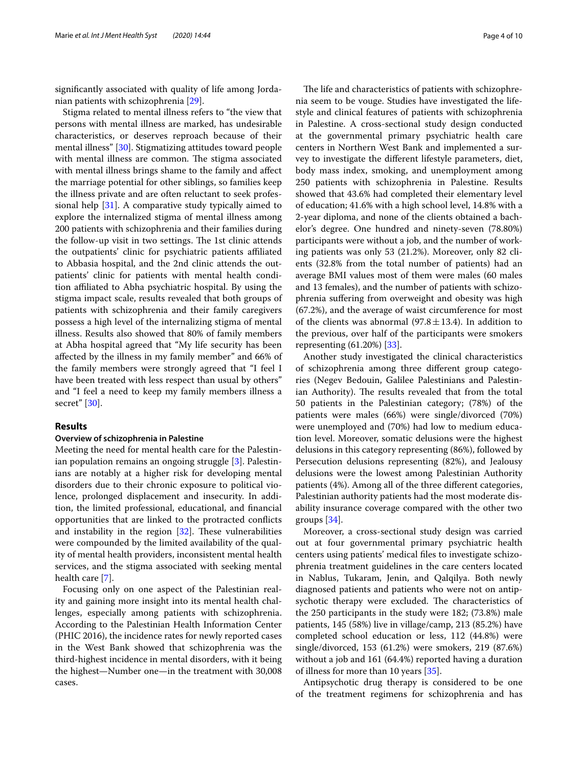signifcantly associated with quality of life among Jordanian patients with schizophrenia [\[29](#page-8-25)].

Stigma related to mental illness refers to "the view that persons with mental illness are marked, has undesirable characteristics, or deserves reproach because of their mental illness" [\[30\]](#page-8-26). Stigmatizing attitudes toward people with mental illness are common. The stigma associated with mental illness brings shame to the family and afect the marriage potential for other siblings, so families keep the illness private and are often reluctant to seek professional help [\[31\]](#page-8-27). A comparative study typically aimed to explore the internalized stigma of mental illness among 200 patients with schizophrenia and their families during the follow-up visit in two settings. The 1st clinic attends the outpatients' clinic for psychiatric patients afliated to Abbasia hospital, and the 2nd clinic attends the outpatients' clinic for patients with mental health condition afliated to Abha psychiatric hospital. By using the stigma impact scale, results revealed that both groups of patients with schizophrenia and their family caregivers possess a high level of the internalizing stigma of mental illness. Results also showed that 80% of family members at Abha hospital agreed that "My life security has been afected by the illness in my family member" and 66% of the family members were strongly agreed that "I feel I have been treated with less respect than usual by others" and "I feel a need to keep my family members illness a secret" [\[30](#page-8-26)].

# **Results**

# **Overview of schizophrenia in Palestine**

Meeting the need for mental health care for the Palestinian population remains an ongoing struggle [[3\]](#page-8-2). Palestinians are notably at a higher risk for developing mental disorders due to their chronic exposure to political violence, prolonged displacement and insecurity. In addition, the limited professional, educational, and fnancial opportunities that are linked to the protracted conficts and instability in the region  $[32]$  $[32]$ . These vulnerabilities were compounded by the limited availability of the quality of mental health providers, inconsistent mental health services, and the stigma associated with seeking mental health care [\[7](#page-8-6)].

Focusing only on one aspect of the Palestinian reality and gaining more insight into its mental health challenges, especially among patients with schizophrenia. According to the Palestinian Health Information Center (PHIC 2016), the incidence rates for newly reported cases in the West Bank showed that schizophrenia was the third-highest incidence in mental disorders, with it being the highest—Number one—in the treatment with 30,008 cases.

The life and characteristics of patients with schizophrenia seem to be vouge. Studies have investigated the lifestyle and clinical features of patients with schizophrenia in Palestine. A cross-sectional study design conducted at the governmental primary psychiatric health care centers in Northern West Bank and implemented a survey to investigate the diferent lifestyle parameters, diet, body mass index, smoking, and unemployment among 250 patients with schizophrenia in Palestine. Results showed that 43.6% had completed their elementary level of education; 41.6% with a high school level, 14.8% with a 2-year diploma, and none of the clients obtained a bachelor's degree. One hundred and ninety-seven (78.80%) participants were without a job, and the number of working patients was only 53 (21.2%). Moreover, only 82 clients (32.8% from the total number of patients) had an average BMI values most of them were males (60 males and 13 females), and the number of patients with schizophrenia sufering from overweight and obesity was high (67.2%), and the average of waist circumference for most of the clients was abnormal (97.8 $\pm$ 13.4). In addition to the previous, over half of the participants were smokers representing  $(61.20\%)$  [\[33\]](#page-8-29).

Another study investigated the clinical characteristics of schizophrenia among three diferent group categories (Negev Bedouin, Galilee Palestinians and Palestinian Authority). The results revealed that from the total 50 patients in the Palestinian category; (78%) of the patients were males (66%) were single/divorced (70%) were unemployed and (70%) had low to medium education level. Moreover, somatic delusions were the highest delusions in this category representing (86%), followed by Persecution delusions representing (82%), and Jealousy delusions were the lowest among Palestinian Authority patients (4%). Among all of the three diferent categories, Palestinian authority patients had the most moderate disability insurance coverage compared with the other two groups [\[34](#page-8-30)].

Moreover, a cross-sectional study design was carried out at four governmental primary psychiatric health centers using patients' medical fles to investigate schizophrenia treatment guidelines in the care centers located in Nablus, Tukaram, Jenin, and Qalqilya. Both newly diagnosed patients and patients who were not on antipsychotic therapy were excluded. The characteristics of the 250 participants in the study were 182; (73.8%) male patients, 145 (58%) live in village/camp, 213 (85.2%) have completed school education or less, 112 (44.8%) were single/divorced, 153 (61.2%) were smokers, 219 (87.6%) without a job and 161 (64.4%) reported having a duration of illness for more than 10 years [\[35\]](#page-8-31).

Antipsychotic drug therapy is considered to be one of the treatment regimens for schizophrenia and has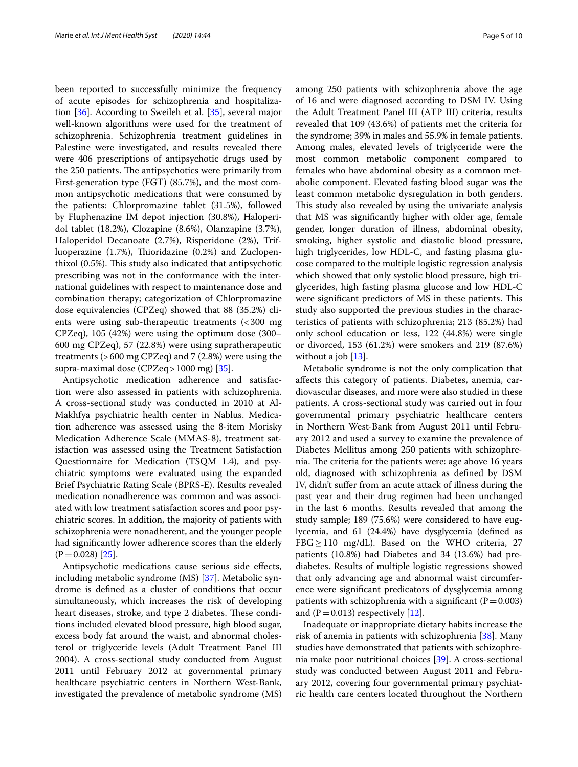been reported to successfully minimize the frequency of acute episodes for schizophrenia and hospitalization [[36](#page-8-32)]. According to Sweileh et al. [[35](#page-8-31)], several major well-known algorithms were used for the treatment of schizophrenia. Schizophrenia treatment guidelines in Palestine were investigated, and results revealed there were 406 prescriptions of antipsychotic drugs used by the 250 patients. The antipsychotics were primarily from First-generation type (FGT) (85.7%), and the most common antipsychotic medications that were consumed by the patients: Chlorpromazine tablet (31.5%), followed by Fluphenazine IM depot injection (30.8%), Haloperidol tablet (18.2%), Clozapine (8.6%), Olanzapine (3.7%), Haloperidol Decanoate (2.7%), Risperidone (2%), Trifluoperazine (1.7%), Thioridazine (0.2%) and Zuclopenthixol (0.5%). This study also indicated that antipsychotic prescribing was not in the conformance with the international guidelines with respect to maintenance dose and combination therapy; categorization of Chlorpromazine dose equivalencies (CPZeq) showed that 88 (35.2%) clients were using sub-therapeutic treatments (<300 mg CPZeq), 105 (42%) were using the optimum dose (300– 600 mg CPZeq), 57 (22.8%) were using supratherapeutic treatments (>600 mg CPZeq) and 7 (2.8%) were using the supra-maximal dose (CPZeq>1000 mg) [\[35](#page-8-31)].

Antipsychotic medication adherence and satisfaction were also assessed in patients with schizophrenia. A cross-sectional study was conducted in 2010 at Al-Makhfya psychiatric health center in Nablus. Medication adherence was assessed using the 8-item Morisky Medication Adherence Scale (MMAS-8), treatment satisfaction was assessed using the Treatment Satisfaction Questionnaire for Medication (TSQM 1.4), and psychiatric symptoms were evaluated using the expanded Brief Psychiatric Rating Scale (BPRS-E). Results revealed medication nonadherence was common and was associated with low treatment satisfaction scores and poor psychiatric scores. In addition, the majority of patients with schizophrenia were nonadherent, and the younger people had signifcantly lower adherence scores than the elderly  $(P=0.028)$  [\[25\]](#page-8-21).

Antipsychotic medications cause serious side efects, including metabolic syndrome (MS) [[37\]](#page-8-33). Metabolic syndrome is defned as a cluster of conditions that occur simultaneously, which increases the risk of developing heart diseases, stroke, and type 2 diabetes. These conditions included elevated blood pressure, high blood sugar, excess body fat around the waist, and abnormal cholesterol or triglyceride levels (Adult Treatment Panel III 2004). A cross-sectional study conducted from August 2011 until February 2012 at governmental primary healthcare psychiatric centers in Northern West-Bank, investigated the prevalence of metabolic syndrome (MS)

among 250 patients with schizophrenia above the age of 16 and were diagnosed according to DSM IV. Using the Adult Treatment Panel III (ATP III) criteria, results revealed that 109 (43.6%) of patients met the criteria for the syndrome; 39% in males and 55.9% in female patients. Among males, elevated levels of triglyceride were the most common metabolic component compared to females who have abdominal obesity as a common metabolic component. Elevated fasting blood sugar was the least common metabolic dysregulation in both genders. This study also revealed by using the univariate analysis that MS was signifcantly higher with older age, female gender, longer duration of illness, abdominal obesity, smoking, higher systolic and diastolic blood pressure, high triglycerides, low HDL-C, and fasting plasma glucose compared to the multiple logistic regression analysis which showed that only systolic blood pressure, high triglycerides, high fasting plasma glucose and low HDL-C were significant predictors of MS in these patients. This study also supported the previous studies in the characteristics of patients with schizophrenia; 213 (85.2%) had only school education or less, 122 (44.8%) were single or divorced, 153 (61.2%) were smokers and 219 (87.6%) without a job [\[13\]](#page-8-12).

Metabolic syndrome is not the only complication that afects this category of patients. Diabetes, anemia, cardiovascular diseases, and more were also studied in these patients. A cross-sectional study was carried out in four governmental primary psychiatric healthcare centers in Northern West-Bank from August 2011 until February 2012 and used a survey to examine the prevalence of Diabetes Mellitus among 250 patients with schizophrenia. The criteria for the patients were: age above 16 years old, diagnosed with schizophrenia as defned by DSM IV, didn't sufer from an acute attack of illness during the past year and their drug regimen had been unchanged in the last 6 months. Results revealed that among the study sample; 189 (75.6%) were considered to have euglycemia, and 61 (24.4%) have dysglycemia (defned as FBG $\geq$ 110 mg/dL). Based on the WHO criteria, 27 patients (10.8%) had Diabetes and 34 (13.6%) had prediabetes. Results of multiple logistic regressions showed that only advancing age and abnormal waist circumference were signifcant predicators of dysglycemia among patients with schizophrenia with a significant ( $P=0.003$ ) and  $(P=0.013)$  respectively [\[12](#page-8-11)].

Inadequate or inappropriate dietary habits increase the risk of anemia in patients with schizophrenia [\[38\]](#page-8-34). Many studies have demonstrated that patients with schizophrenia make poor nutritional choices [[39\]](#page-9-0). A cross-sectional study was conducted between August 2011 and February 2012, covering four governmental primary psychiatric health care centers located throughout the Northern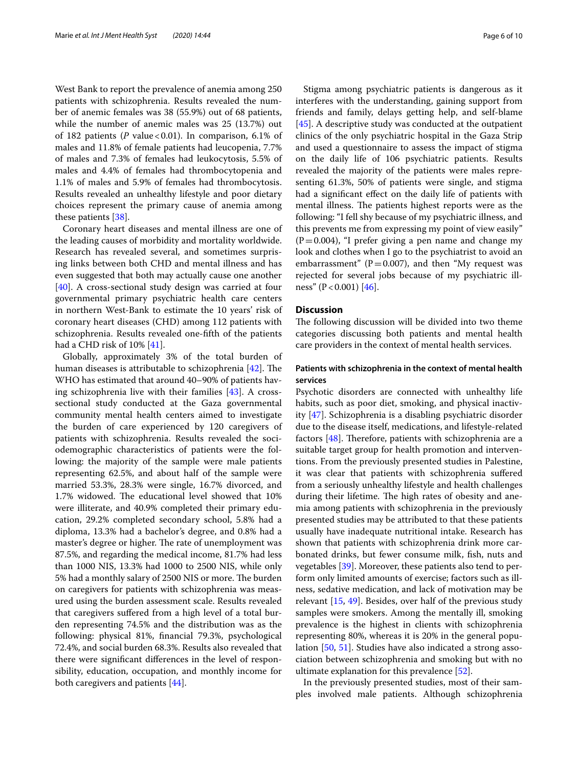West Bank to report the prevalence of anemia among 250 patients with schizophrenia. Results revealed the number of anemic females was 38 (55.9%) out of 68 patients, while the number of anemic males was 25 (13.7%) out of 182 patients (*P* value < 0.01). In comparison, 6.1% of males and 11.8% of female patients had leucopenia, 7.7% of males and 7.3% of females had leukocytosis, 5.5% of males and 4.4% of females had thrombocytopenia and 1.1% of males and 5.9% of females had thrombocytosis. Results revealed an unhealthy lifestyle and poor dietary choices represent the primary cause of anemia among these patients [\[38](#page-8-34)].

Coronary heart diseases and mental illness are one of the leading causes of morbidity and mortality worldwide. Research has revealed several, and sometimes surprising links between both CHD and mental illness and has even suggested that both may actually cause one another [[40\]](#page-9-1). A cross-sectional study design was carried at four governmental primary psychiatric health care centers in northern West-Bank to estimate the 10 years' risk of coronary heart diseases (CHD) among 112 patients with schizophrenia. Results revealed one-ffth of the patients had a CHD risk of 10% [[41\]](#page-9-2).

Globally, approximately 3% of the total burden of human diseases is attributable to schizophrenia  $[42]$  $[42]$ . The WHO has estimated that around 40–90% of patients having schizophrenia live with their families [\[43\]](#page-9-4). A crosssectional study conducted at the Gaza governmental community mental health centers aimed to investigate the burden of care experienced by 120 caregivers of patients with schizophrenia. Results revealed the sociodemographic characteristics of patients were the following: the majority of the sample were male patients representing 62.5%, and about half of the sample were married 53.3%, 28.3% were single, 16.7% divorced, and 1.7% widowed. The educational level showed that 10% were illiterate, and 40.9% completed their primary education, 29.2% completed secondary school, 5.8% had a diploma, 13.3% had a bachelor's degree, and 0.8% had a master's degree or higher. The rate of unemployment was 87.5%, and regarding the medical income, 81.7% had less than 1000 NIS, 13.3% had 1000 to 2500 NIS, while only 5% had a monthly salary of 2500 NIS or more. The burden on caregivers for patients with schizophrenia was measured using the burden assessment scale. Results revealed that caregivers sufered from a high level of a total burden representing 74.5% and the distribution was as the following: physical 81%, fnancial 79.3%, psychological 72.4%, and social burden 68.3%. Results also revealed that there were signifcant diferences in the level of responsibility, education, occupation, and monthly income for both caregivers and patients [\[44\]](#page-9-5).

Stigma among psychiatric patients is dangerous as it interferes with the understanding, gaining support from friends and family, delays getting help, and self-blame [[45\]](#page-9-6). A descriptive study was conducted at the outpatient clinics of the only psychiatric hospital in the Gaza Strip and used a questionnaire to assess the impact of stigma on the daily life of 106 psychiatric patients. Results revealed the majority of the patients were males representing 61.3%, 50% of patients were single, and stigma had a signifcant efect on the daily life of patients with mental illness. The patients highest reports were as the following: "I fell shy because of my psychiatric illness, and this prevents me from expressing my point of view easily"  $(P=0.004)$ , "I prefer giving a pen name and change my look and clothes when I go to the psychiatrist to avoid an embarrassment" ( $P=0.007$ ), and then "My request was rejected for several jobs because of my psychiatric ill-ness" (P < 0.001) [\[46](#page-9-7)].

# **Discussion**

The following discussion will be divided into two theme categories discussing both patients and mental health care providers in the context of mental health services.

# **Patients with schizophrenia in the context of mental health services**

Psychotic disorders are connected with unhealthy life habits, such as poor diet, smoking, and physical inactivity [\[47\]](#page-9-8). Schizophrenia is a disabling psychiatric disorder due to the disease itself, medications, and lifestyle-related factors  $[48]$  $[48]$ . Therefore, patients with schizophrenia are a suitable target group for health promotion and interventions. From the previously presented studies in Palestine, it was clear that patients with schizophrenia sufered from a seriously unhealthy lifestyle and health challenges during their lifetime. The high rates of obesity and anemia among patients with schizophrenia in the previously presented studies may be attributed to that these patients usually have inadequate nutritional intake. Research has shown that patients with schizophrenia drink more carbonated drinks, but fewer consume milk, fsh, nuts and vegetables [\[39\]](#page-9-0). Moreover, these patients also tend to perform only limited amounts of exercise; factors such as illness, sedative medication, and lack of motivation may be relevant [[15,](#page-8-14) [49\]](#page-9-10). Besides, over half of the previous study samples were smokers. Among the mentally ill, smoking prevalence is the highest in clients with schizophrenia representing 80%, whereas it is 20% in the general population [\[50](#page-9-11), [51](#page-9-12)]. Studies have also indicated a strong association between schizophrenia and smoking but with no ultimate explanation for this prevalence [\[52\]](#page-9-13).

In the previously presented studies, most of their samples involved male patients. Although schizophrenia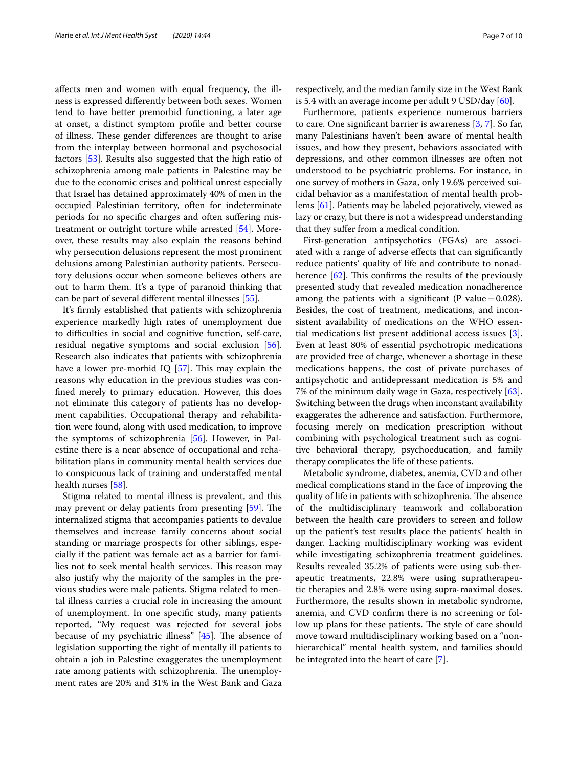afects men and women with equal frequency, the illness is expressed diferently between both sexes. Women tend to have better premorbid functioning, a later age at onset, a distinct symptom profle and better course of illness. These gender differences are thought to arise from the interplay between hormonal and psychosocial factors [[53\]](#page-9-14). Results also suggested that the high ratio of schizophrenia among male patients in Palestine may be due to the economic crises and political unrest especially that Israel has detained approximately 40% of men in the occupied Palestinian territory, often for indeterminate periods for no specifc charges and often sufering mistreatment or outright torture while arrested [\[54\]](#page-9-15). Moreover, these results may also explain the reasons behind why persecution delusions represent the most prominent delusions among Palestinian authority patients. Persecutory delusions occur when someone believes others are out to harm them. It's a type of paranoid thinking that can be part of several diferent mental illnesses [[55](#page-9-16)].

It's frmly established that patients with schizophrenia experience markedly high rates of unemployment due to difculties in social and cognitive function, self-care, residual negative symptoms and social exclusion [\[56](#page-9-17)]. Research also indicates that patients with schizophrenia have a lower pre-morbid IQ  $[57]$ . This may explain the reasons why education in the previous studies was confned merely to primary education. However, this does not eliminate this category of patients has no development capabilities. Occupational therapy and rehabilitation were found, along with used medication, to improve the symptoms of schizophrenia [[56\]](#page-9-17). However, in Palestine there is a near absence of occupational and rehabilitation plans in community mental health services due to conspicuous lack of training and understafed mental health nurses [[58\]](#page-9-19).

Stigma related to mental illness is prevalent, and this may prevent or delay patients from presenting  $[59]$  $[59]$  $[59]$ . The internalized stigma that accompanies patients to devalue themselves and increase family concerns about social standing or marriage prospects for other siblings, especially if the patient was female act as a barrier for families not to seek mental health services. This reason may also justify why the majority of the samples in the previous studies were male patients. Stigma related to mental illness carries a crucial role in increasing the amount of unemployment. In one specifc study, many patients reported, "My request was rejected for several jobs because of my psychiatric illness"  $[45]$  $[45]$ . The absence of legislation supporting the right of mentally ill patients to obtain a job in Palestine exaggerates the unemployment rate among patients with schizophrenia. The unemployment rates are 20% and 31% in the West Bank and Gaza respectively, and the median family size in the West Bank is 5.4 with an average income per adult 9 USD/day [\[60\]](#page-9-21).

Furthermore, patients experience numerous barriers to care. One signifcant barrier is awareness [\[3](#page-8-2), [7\]](#page-8-6). So far, many Palestinians haven't been aware of mental health issues, and how they present, behaviors associated with depressions, and other common illnesses are often not understood to be psychiatric problems. For instance, in one survey of mothers in Gaza, only 19.6% perceived suicidal behavior as a manifestation of mental health problems [[61](#page-9-22)]. Patients may be labeled pejoratively, viewed as lazy or crazy, but there is not a widespread understanding that they sufer from a medical condition.

First-generation antipsychotics (FGAs) are associated with a range of adverse efects that can signifcantly reduce patients' quality of life and contribute to nonadherence  $[62]$  $[62]$ . This confirms the results of the previously presented study that revealed medication nonadherence among the patients with a significant (P value $=0.028$ ). Besides, the cost of treatment, medications, and inconsistent availability of medications on the WHO essential medications list present additional access issues [\[3](#page-8-2)]. Even at least 80% of essential psychotropic medications are provided free of charge, whenever a shortage in these medications happens, the cost of private purchases of antipsychotic and antidepressant medication is 5% and 7% of the minimum daily wage in Gaza, respectively [\[63](#page-9-24)]. Switching between the drugs when inconstant availability exaggerates the adherence and satisfaction. Furthermore, focusing merely on medication prescription without combining with psychological treatment such as cognitive behavioral therapy, psychoeducation, and family therapy complicates the life of these patients.

Metabolic syndrome, diabetes, anemia, CVD and other medical complications stand in the face of improving the quality of life in patients with schizophrenia. The absence of the multidisciplinary teamwork and collaboration between the health care providers to screen and follow up the patient's test results place the patients' health in danger. Lacking multidisciplinary working was evident while investigating schizophrenia treatment guidelines. Results revealed 35.2% of patients were using sub-therapeutic treatments, 22.8% were using supratherapeutic therapies and 2.8% were using supra-maximal doses. Furthermore, the results shown in metabolic syndrome, anemia, and CVD confrm there is no screening or follow up plans for these patients. The style of care should move toward multidisciplinary working based on a "nonhierarchical" mental health system, and families should be integrated into the heart of care [[7](#page-8-6)].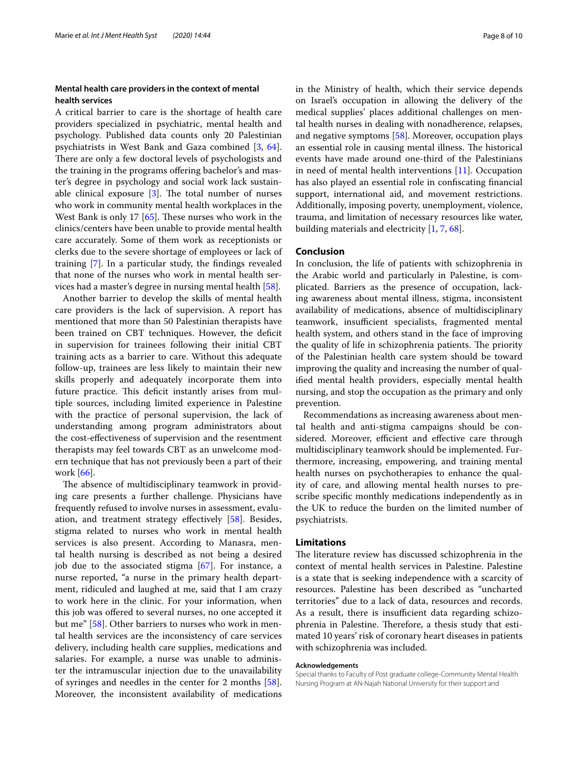# **Mental health care providers in the context of mental health services**

A critical barrier to care is the shortage of health care providers specialized in psychiatric, mental health and psychology. Published data counts only 20 Palestinian psychiatrists in West Bank and Gaza combined [\[3](#page-8-2), [64](#page-9-25)]. There are only a few doctoral levels of psychologists and the training in the programs ofering bachelor's and master's degree in psychology and social work lack sustainable clinical exposure  $[3]$  $[3]$ . The total number of nurses who work in community mental health workplaces in the West Bank is only 17  $[65]$  $[65]$ . These nurses who work in the clinics/centers have been unable to provide mental health care accurately. Some of them work as receptionists or clerks due to the severe shortage of employees or lack of training [\[7\]](#page-8-6). In a particular study, the fndings revealed that none of the nurses who work in mental health services had a master's degree in nursing mental health [[58\]](#page-9-19).

Another barrier to develop the skills of mental health care providers is the lack of supervision. A report has mentioned that more than 50 Palestinian therapists have been trained on CBT techniques. However, the deficit in supervision for trainees following their initial CBT training acts as a barrier to care. Without this adequate follow-up, trainees are less likely to maintain their new skills properly and adequately incorporate them into future practice. This deficit instantly arises from multiple sources, including limited experience in Palestine with the practice of personal supervision, the lack of understanding among program administrators about the cost-efectiveness of supervision and the resentment therapists may feel towards CBT as an unwelcome modern technique that has not previously been a part of their work [[66\]](#page-9-27).

The absence of multidisciplinary teamwork in providing care presents a further challenge. Physicians have frequently refused to involve nurses in assessment, evaluation, and treatment strategy efectively [\[58\]](#page-9-19). Besides, stigma related to nurses who work in mental health services is also present. According to Manasra, mental health nursing is described as not being a desired job due to the associated stigma [[67\]](#page-9-28). For instance, a nurse reported, "a nurse in the primary health department, ridiculed and laughed at me, said that I am crazy to work here in the clinic. For your information, when this job was ofered to several nurses, no one accepted it but me" [\[58\]](#page-9-19). Other barriers to nurses who work in mental health services are the inconsistency of care services delivery, including health care supplies, medications and salaries. For example, a nurse was unable to administer the intramuscular injection due to the unavailability of syringes and needles in the center for 2 months [\[58](#page-9-19)]. Moreover, the inconsistent availability of medications in the Ministry of health, which their service depends on Israel's occupation in allowing the delivery of the medical supplies' places additional challenges on mental health nurses in dealing with nonadherence, relapses, and negative symptoms [\[58](#page-9-19)]. Moreover, occupation plays an essential role in causing mental illness. The historical events have made around one-third of the Palestinians in need of mental health interventions [[11\]](#page-8-10). Occupation has also played an essential role in confscating fnancial support, international aid, and movement restrictions. Additionally, imposing poverty, unemployment, violence, trauma, and limitation of necessary resources like water, building materials and electricity [\[1](#page-8-0), [7,](#page-8-6) [68](#page-9-29)].

# **Conclusion**

In conclusion, the life of patients with schizophrenia in the Arabic world and particularly in Palestine, is complicated. Barriers as the presence of occupation, lacking awareness about mental illness, stigma, inconsistent availability of medications, absence of multidisciplinary teamwork, insufficient specialists, fragmented mental health system, and others stand in the face of improving the quality of life in schizophrenia patients. The priority of the Palestinian health care system should be toward improving the quality and increasing the number of qualifed mental health providers, especially mental health nursing, and stop the occupation as the primary and only prevention.

Recommendations as increasing awareness about mental health and anti-stigma campaigns should be considered. Moreover, efficient and effective care through multidisciplinary teamwork should be implemented. Furthermore, increasing, empowering, and training mental health nurses on psychotherapies to enhance the quality of care, and allowing mental health nurses to prescribe specifc monthly medications independently as in the UK to reduce the burden on the limited number of psychiatrists.

# **Limitations**

The literature review has discussed schizophrenia in the context of mental health services in Palestine. Palestine is a state that is seeking independence with a scarcity of resources. Palestine has been described as "uncharted territories'' due to a lack of data, resources and records. As a result, there is insufficient data regarding schizophrenia in Palestine. Therefore, a thesis study that estimated 10 years' risk of coronary heart diseases in patients with schizophrenia was included.

#### **Acknowledgements**

Special thanks to Faculty of Post graduate college-Community Mental Health Nursing Program at AN-Najah National University for their support and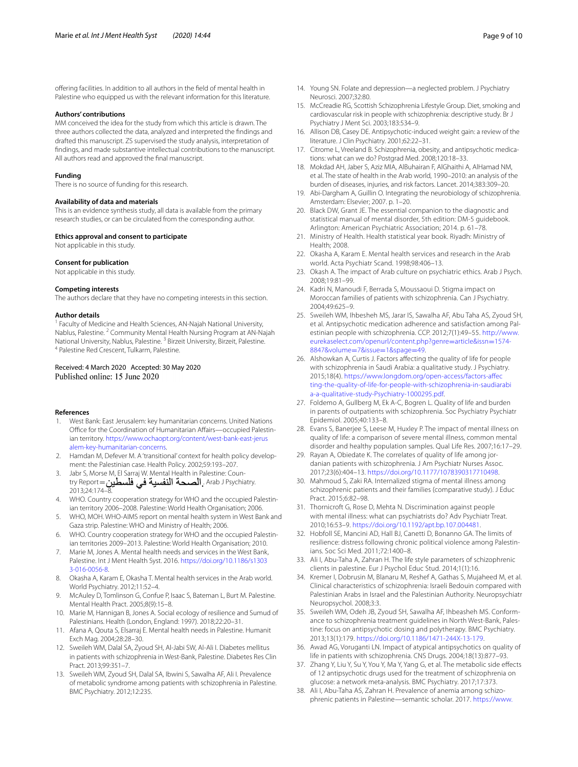ofering facilities. In addition to all authors in the feld of mental health in Palestine who equipped us with the relevant information for this literature.

# **Authors' contributions**

MM conceived the idea for the study from which this article is drawn. The three authors collected the data, analyzed and interpreted the fndings and drafted this manuscript. ZS supervised the study analysis, interpretation of fndings, and made substantive intellectual contributions to the manuscript. All authors read and approved the fnal manuscript.

#### **Funding**

There is no source of funding for this research.

#### **Availability of data and materials**

This is an evidence synthesis study, all data is available from the primary research studies, or can be circulated from the corresponding author.

#### **Ethics approval and consent to participate**

Not applicable in this study.

# **Consent for publication**

Not applicable in this study.

# **Competing interests**

The authors declare that they have no competing interests in this section.

#### **Author details**

<sup>1</sup> Faculty of Medicine and Health Sciences, AN-Najah National University, Nablus, Palestine. <sup>2</sup> Community Mental Health Nursing Program at AN-Najah National University, Nablus, Palestine. <sup>3</sup> Birzeit University, Birzeit, Palestine.<br><sup>4</sup> Palestine Red Crescent, Tulkarm, Palestine.

# Received: 4 March 2020 Accepted: 30 May 2020

#### **References**

- <span id="page-8-0"></span>1. West Bank: East Jerusalem: key humanitarian concerns. United Nations Office for the Coordination of Humanitarian Affairs-occupied Palestinian territory. [https://www.ochaopt.org/content/west-bank-east-jerus](https://www.ochaopt.org/content/west-bank-east-jerusalem-key-humanitarian-concerns) [alem-key-humanitarian-concerns](https://www.ochaopt.org/content/west-bank-east-jerusalem-key-humanitarian-concerns).
- <span id="page-8-1"></span>2. Hamdan M, Defever M. A 'transitional' context for health policy development: the Palestinian case. Health Policy. 2002;59:193–207.
- <span id="page-8-2"></span>3. Jabr S, Morse M, El Sarraj W. Mental Health in Palestine: Country Report= . الصحة النفسية في فلسطين= try Report 2013;24:174–8.
- <span id="page-8-3"></span>4. WHO. Country cooperation strategy for WHO and the occupied Palestinian territory 2006–2008. Palestine: World Health Organisation; 2006.
- <span id="page-8-4"></span>5. WHO, MOH. WHO-AIMS report on mental health system in West Bank and Gaza strip. Palestine: WHO and Ministry of Health; 2006.
- <span id="page-8-5"></span>6. WHO. Country cooperation strategy for WHO and the occupied Palestinian territories 2009–2013. Palestine: World Health Organisation; 2010.
- <span id="page-8-6"></span>7. Marie M, Jones A. Mental health needs and services in the West Bank, Palestine. Int J Ment Health Syst. 2016. [https://doi.org/10.1186/s1303](https://doi.org/10.1186/s13033-016-0056-8) [3-016-0056-8](https://doi.org/10.1186/s13033-016-0056-8).
- <span id="page-8-7"></span>8. Okasha A, Karam E, Okasha T. Mental health services in the Arab world. World Psychiatry. 2012;11:52–4.
- <span id="page-8-8"></span>9. McAuley D, Tomlinson G, Confue P, Isaac S, Bateman L, Burt M. Palestine. Mental Health Pract. 2005;8(9):15–8.
- <span id="page-8-9"></span>10. Marie M, Hannigan B, Jones A. Social ecology of resilience and Sumud of Palestinians. Health (London, England: 1997). 2018;22:20–31.
- <span id="page-8-10"></span>11. Afana A, Qouta S, Elsarraj E. Mental health needs in Palestine. Humanit Exch Mag. 2004;28:28–30.
- <span id="page-8-11"></span>12. Sweileh WM, Dalal SA, Zyoud SH, Al-Jabi SW, Al-Ali I. Diabetes mellitus in patients with schizophrenia in West-Bank, Palestine. Diabetes Res Clin Pract. 2013;99:351–7.
- <span id="page-8-12"></span>13. Sweileh WM, Zyoud SH, Dalal SA, Ibwini S, Sawalha AF, Ali I. Prevalence of metabolic syndrome among patients with schizophrenia in Palestine. BMC Psychiatry. 2012;12:235.
- <span id="page-8-13"></span>14. Young SN. Folate and depression—a neglected problem. J Psychiatry Neurosci. 2007;32:80.
- <span id="page-8-14"></span>15. McCreadie RG, Scottish Schizophrenia Lifestyle Group. Diet, smoking and cardiovascular risk in people with schizophrenia: descriptive study. Br J Psychiatry J Ment Sci. 2003;183:534–9.
- <span id="page-8-15"></span>16. Allison DB, Casey DE. Antipsychotic-induced weight gain: a review of the literature. J Clin Psychiatry. 2001;62:22–31.
- <span id="page-8-16"></span>17. Citrome L, Vreeland B. Schizophrenia, obesity, and antipsychotic medications: what can we do? Postgrad Med. 2008;120:18–33.
- <span id="page-8-17"></span>18. Mokdad AH, Jaber S, Aziz MIA, AlBuhairan F, AlGhaithi A, AlHamad NM, et al. The state of health in the Arab world, 1990–2010: an analysis of the burden of diseases, injuries, and risk factors. Lancet. 2014;383:309–20.
- <span id="page-8-18"></span>19. Abi-Dargham A, Guillin O. Integrating the neurobiology of schizophrenia. Amsterdam: Elsevier; 2007. p. 1–20.
- 20. Black DW, Grant JE. The essential companion to the diagnostic and statistical manual of mental disorder, 5th edition: DM-5 guidebook. Arlington: American Psychiatric Association; 2014. p. 61–78.
- 21. Ministry of Health. Health statistical year book. Riyadh: Ministry of Health; 2008.
- 22. Okasha A, Karam E. Mental health services and research in the Arab world. Acta Psychiatr Scand. 1998;98:406–13.
- <span id="page-8-19"></span>23. Okash A. The impact of Arab culture on psychiatric ethics. Arab J Psych. 2008;19:81–99.
- <span id="page-8-20"></span>24. Kadri N, Manoudi F, Berrada S, Moussaoui D. Stigma impact on Moroccan families of patients with schizophrenia. Can J Psychiatry. 2004;49:625–9.
- <span id="page-8-21"></span>25. Sweileh WM, Ihbesheh MS, Jarar IS, Sawalha AF, Abu Taha AS, Zyoud SH, et al. Antipsychotic medication adherence and satisfaction among Palestinian people with schizophrenia. CCP. 2012;7(1):49–55. [http://www.](http://www.eurekaselect.com/openurl/content.php%3fgenre%3darticle%26issn%3d1574-8847%26volume%3d7%26issue%3d1%26spage%3d49) [eurekaselect.com/openurl/content.php?genre](http://www.eurekaselect.com/openurl/content.php%3fgenre%3darticle%26issn%3d1574-8847%26volume%3d7%26issue%3d1%26spage%3d49)=article&issn=1574- 8847&volume=7&issue=1&spage=49.
- <span id="page-8-22"></span>26. [Alshowkan A, Curtis J. Factors afecting](http://www.eurekaselect.com/openurl/content.php%3fgenre%3darticle%26issn%3d1574-8847%26volume%3d7%26issue%3d1%26spage%3d49) the quality of life for people with schizophrenia in Saudi Arabia: a qualitative study. J Psychiatry. 2015;18(4). [https://www.longdom.org/open-access/factors-afec](https://www.longdom.org/open-access/factors-affecting-the-quality-of-life-for-people-with-schizophrenia-in-saudiarabia-a-qualitative-study-Psychiatry-1000295.pdf) [ting-the-quality-of-life-for-people-with-schizophrenia-in-saudiarabi](https://www.longdom.org/open-access/factors-affecting-the-quality-of-life-for-people-with-schizophrenia-in-saudiarabia-a-qualitative-study-Psychiatry-1000295.pdf) [a-a-qualitative-study-Psychiatry-1000295.pdf](https://www.longdom.org/open-access/factors-affecting-the-quality-of-life-for-people-with-schizophrenia-in-saudiarabia-a-qualitative-study-Psychiatry-1000295.pdf).
- <span id="page-8-23"></span>27. Foldemo A, Gullberg M, Ek A-C, Bogren L. Quality of life and burden in parents of outpatients with schizophrenia. Soc Psychiatry Psychiatr Epidemiol. 2005;40:133–8.
- <span id="page-8-24"></span>28. Evans S, Banerjee S, Leese M, Huxley P. The impact of mental illness on quality of life: a comparison of severe mental illness, common mental disorder and healthy population samples. Qual Life Res. 2007;16:17–29.
- <span id="page-8-25"></span>29. Rayan A, Obiedate K. The correlates of quality of life among jordanian patients with schizophrenia. J Am Psychiatr Nurses Assoc. 2017;23(6):404–13. [https://doi.org/10.1177/1078390317710498.](https://doi.org/10.1177/1078390317710498)
- <span id="page-8-26"></span>30. Mahmoud S, Zaki RA. Internalized stigma of mental illness among schizophrenic patients and their families (comparative study). J Educ Pract. 2015;6:82–98.
- <span id="page-8-27"></span>31. Thornicroft G, Rose D, Mehta N. Discrimination against people with mental illness: what can psychiatrists do? Adv Psychiatr Treat. 2010;16:53–9.<https://doi.org/10.1192/apt.bp.107.004481>.
- <span id="page-8-28"></span>32. Hobfoll SE, Mancini AD, Hall BJ, Canetti D, Bonanno GA. The limits of resilience: distress following chronic political violence among Palestinians. Soc Sci Med. 2011;72:1400–8.
- <span id="page-8-29"></span>33. Ali I, Abu-Taha A, Zahran H. The life style parameters of schizophrenic clients in palestine. Eur J Psychol Educ Stud. 2014;1(1):16.
- <span id="page-8-30"></span>34. Kremer I, Dobrusin M, Blanaru M, Reshef A, Gathas S, Mujaheed M, et al. Clinical characteristics of schizophrenia: Israeli Bedouin compared with Palestinian Arabs in Israel and the Palestinian Authority. Neuropsychiatr Neuropsychol. 2008;3:3.
- <span id="page-8-31"></span>35. Sweileh WM, Odeh JB, Zyoud SH, Sawalha AF, Ihbeasheh MS. Conformance to schizophrenia treatment guidelines in North West-Bank, Palestine: focus on antipsychotic dosing and polytherapy. BMC Psychiatry. 2013;13(1):179. <https://doi.org/10.1186/1471-244X-13-179>.
- <span id="page-8-32"></span>36. Awad AG, Voruganti LN. Impact of atypical antipsychotics on quality of life in patients with schizophrenia. CNS Drugs. 2004;18(13):877–93.
- <span id="page-8-33"></span>37. Zhang Y, Liu Y, Su Y, You Y, Ma Y, Yang G, et al. The metabolic side efects of 12 antipsychotic drugs used for the treatment of schizophrenia on glucose: a network meta-analysis. BMC Psychiatry. 2017;17:373.
- <span id="page-8-34"></span>38. Ali I, Abu-Taha AS, Zahran H. Prevalence of anemia among schizophrenic patients in Palestine—semantic scholar. 2017. [https://www.](https://www.semanticscholar.org/paper/Prevalence-of-Anemia-among-Schizophrenic-Patients-Ali-Abu-Taha/beb1d179133cbc65ba3eb73461de52bce32305f8)